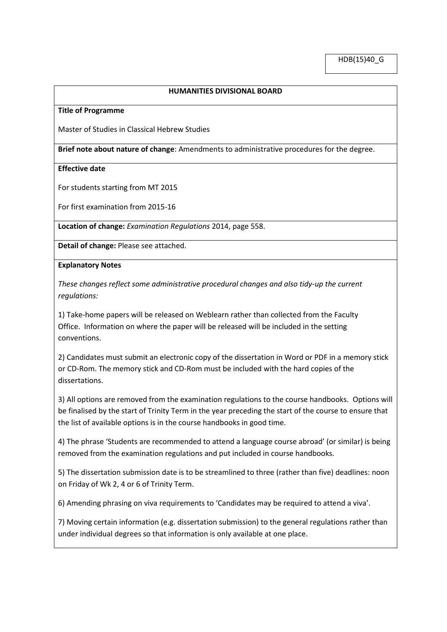## **HUMANITIES DIVISIONAL BOARD**

#### **Title of Programme**

Master of Studies in Classical Hebrew Studies

**Brief note about nature of change**: Amendments to administrative procedures for the degree.

### **Effective date**

For students starting from MT 2015

For first examination from 2015-16

**Location of change:** *Examination Regulations* 2014, page 558.

**Detail of change:** Please see attached.

### **Explanatory Notes**

*These changes reflect some administrative procedural changes and also tidy-up the current regulations:*

1) Take-home papers will be released on Weblearn rather than collected from the Faculty Office. Information on where the paper will be released will be included in the setting conventions.

2) Candidates must submit an electronic copy of the dissertation in Word or PDF in a memory stick or CD-Rom. The memory stick and CD-Rom must be included with the hard copies of the dissertations.

3) All options are removed from the examination regulations to the course handbooks. Options will be finalised by the start of Trinity Term in the year preceding the start of the course to ensure that the list of available options is in the course handbooks in good time.

4) The phrase 'Students are recommended to attend a language course abroad' (or similar) is being removed from the examination regulations and put included in course handbooks.

5) The dissertation submission date is to be streamlined to three (rather than five) deadlines: noon on Friday of Wk 2, 4 or 6 of Trinity Term.

6) Amending phrasing on viva requirements to 'Candidates may be required to attend a viva'.

7) Moving certain information (e.g. dissertation submission) to the general regulations rather than under individual degrees so that information is only available at one place.